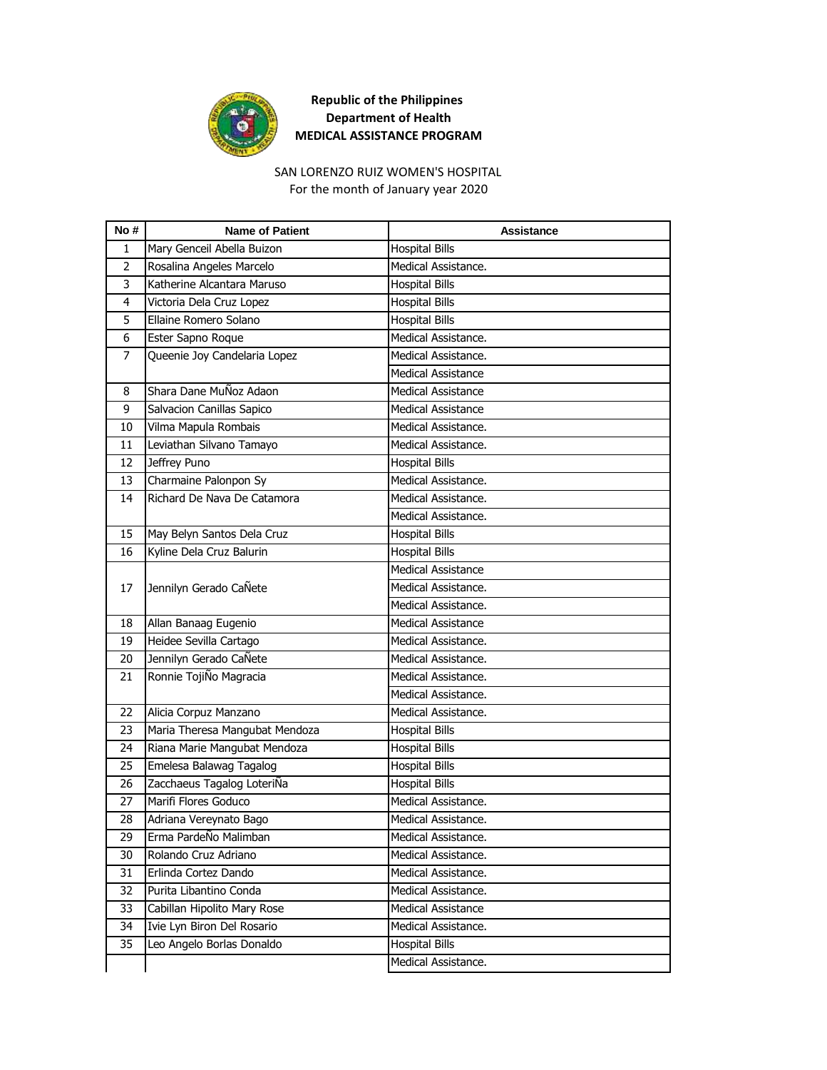

#### SAN LORENZO RUIZ WOMEN'S HOSPITAL

For the month of January year 2020

| No#            | <b>Name of Patient</b>         | Assistance                |
|----------------|--------------------------------|---------------------------|
| 1              | Mary Genceil Abella Buizon     | <b>Hospital Bills</b>     |
| $\overline{2}$ | Rosalina Angeles Marcelo       | Medical Assistance.       |
| 3              | Katherine Alcantara Maruso     | <b>Hospital Bills</b>     |
| 4              | Victoria Dela Cruz Lopez       | <b>Hospital Bills</b>     |
| 5              | Ellaine Romero Solano          | <b>Hospital Bills</b>     |
| 6              | Ester Sapno Roque              | Medical Assistance.       |
| $\overline{7}$ | Queenie Joy Candelaria Lopez   | Medical Assistance.       |
|                |                                | Medical Assistance        |
| 8              | Shara Dane MuÑoz Adaon         | <b>Medical Assistance</b> |
| 9              | Salvacion Canillas Sapico      | <b>Medical Assistance</b> |
| 10             | Vilma Mapula Rombais           | Medical Assistance.       |
| 11             | Leviathan Silvano Tamayo       | Medical Assistance.       |
| 12             | Jeffrey Puno                   | <b>Hospital Bills</b>     |
| 13             | Charmaine Palonpon Sy          | Medical Assistance.       |
| 14             | Richard De Nava De Catamora    | Medical Assistance.       |
|                |                                | Medical Assistance.       |
| 15             | May Belyn Santos Dela Cruz     | <b>Hospital Bills</b>     |
| 16             | Kyline Dela Cruz Balurin       | <b>Hospital Bills</b>     |
|                |                                | <b>Medical Assistance</b> |
| 17             | Jennilyn Gerado CaÑete         | Medical Assistance.       |
|                |                                | Medical Assistance.       |
| 18             | Allan Banaag Eugenio           | <b>Medical Assistance</b> |
| 19             | Heidee Sevilla Cartago         | Medical Assistance.       |
| 20             | Jennilyn Gerado CaÑete         | Medical Assistance.       |
| 21             | Ronnie TojiÑo Magracia         | Medical Assistance.       |
|                |                                | Medical Assistance.       |
| 22             | Alicia Corpuz Manzano          | Medical Assistance.       |
| 23             | Maria Theresa Mangubat Mendoza | <b>Hospital Bills</b>     |
| 24             | Riana Marie Mangubat Mendoza   | <b>Hospital Bills</b>     |
| 25             | Emelesa Balawag Tagalog        | <b>Hospital Bills</b>     |
| 26             | Zacchaeus Tagalog LoteriÑa     | <b>Hospital Bills</b>     |
| 27             | Marifi Flores Goduco           | Medical Assistance.       |
| 28             | Adriana Vereynato Bago         | Medical Assistance.       |
| 29             | Erma PardeÑo Malimban          | Medical Assistance.       |
| 30             | Rolando Cruz Adriano           | Medical Assistance.       |
| 31             | Erlinda Cortez Dando           | Medical Assistance.       |
| 32             | Purita Libantino Conda         | Medical Assistance.       |
| 33             | Cabillan Hipolito Mary Rose    | Medical Assistance        |
| 34             | Ivie Lyn Biron Del Rosario     | Medical Assistance.       |
| 35             | Leo Angelo Borlas Donaldo      | <b>Hospital Bills</b>     |
|                |                                | Medical Assistance.       |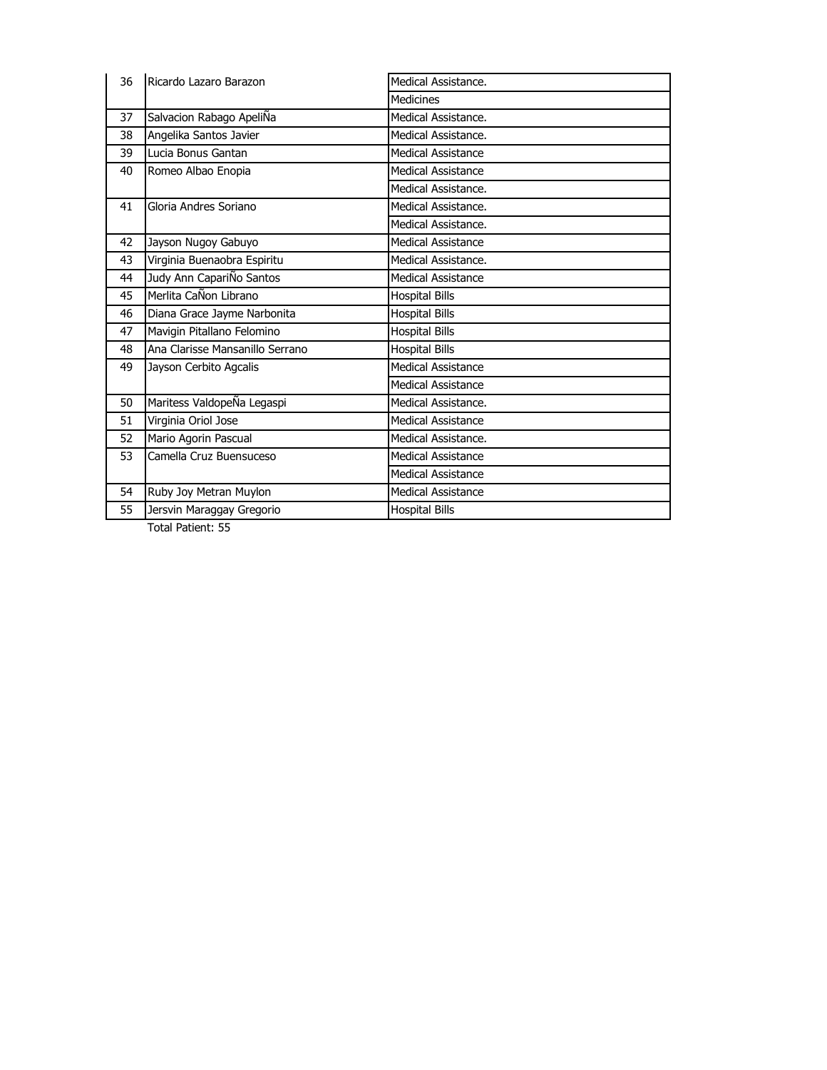| 36 | Ricardo Lazaro Barazon          | Medical Assistance.       |
|----|---------------------------------|---------------------------|
|    |                                 | Medicines                 |
| 37 | Salvacion Rabago ApeliÑa        | Medical Assistance.       |
| 38 | Angelika Santos Javier          | Medical Assistance.       |
| 39 | Lucia Bonus Gantan              | <b>Medical Assistance</b> |
| 40 | Romeo Albao Enopia              | Medical Assistance        |
|    |                                 | Medical Assistance.       |
| 41 | Gloria Andres Soriano           | Medical Assistance.       |
|    |                                 | Medical Assistance.       |
| 42 | Jayson Nugoy Gabuyo             | <b>Medical Assistance</b> |
| 43 | Virginia Buenaobra Espiritu     | Medical Assistance.       |
| 44 | Judy Ann CapariÑo Santos        | Medical Assistance        |
| 45 | Merlita CaÑon Librano           | <b>Hospital Bills</b>     |
| 46 | Diana Grace Jayme Narbonita     | <b>Hospital Bills</b>     |
| 47 | Mavigin Pitallano Felomino      | <b>Hospital Bills</b>     |
| 48 | Ana Clarisse Mansanillo Serrano | <b>Hospital Bills</b>     |
| 49 | Jayson Cerbito Agcalis          | <b>Medical Assistance</b> |
|    |                                 | Medical Assistance        |
| 50 | Maritess ValdopeÑa Legaspi      | Medical Assistance.       |
| 51 | Virginia Oriol Jose             | Medical Assistance        |
| 52 | Mario Agorin Pascual            | Medical Assistance.       |
| 53 | Camella Cruz Buensuceso         | Medical Assistance        |
|    |                                 | <b>Medical Assistance</b> |
| 54 | Ruby Joy Metran Muylon          | <b>Medical Assistance</b> |
| 55 | Jersvin Maraggay Gregorio       | <b>Hospital Bills</b>     |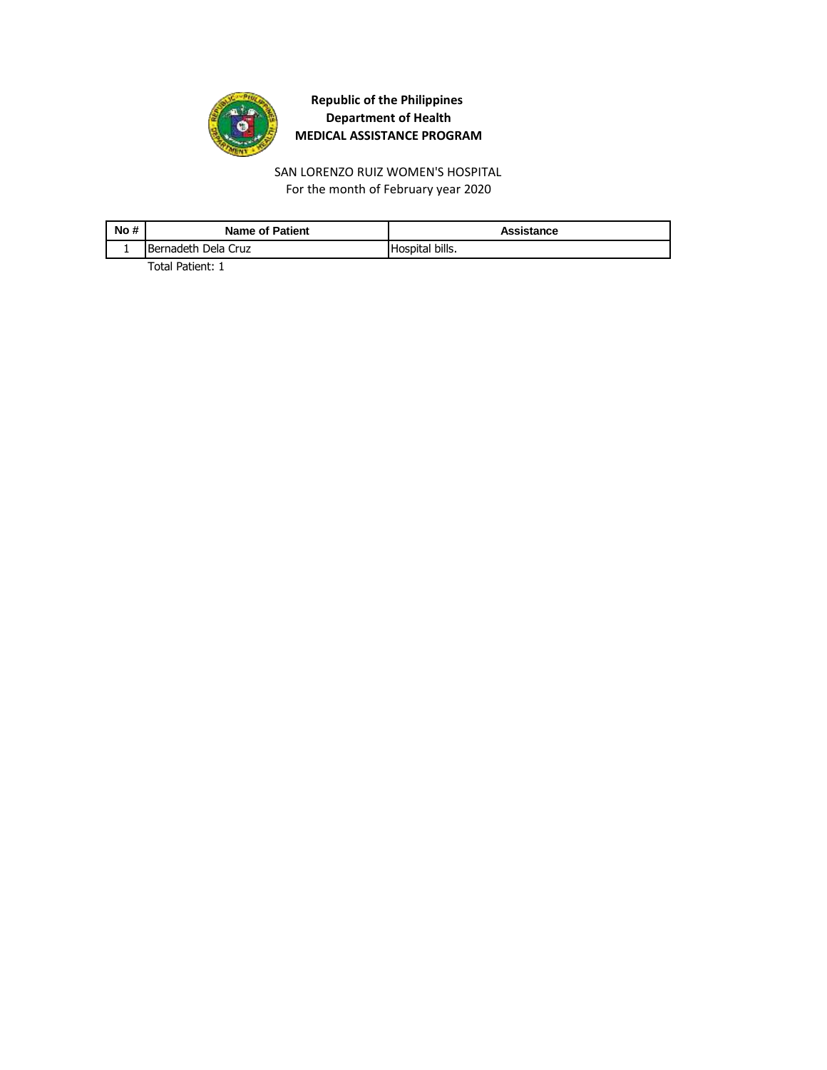

For the month of February year 2020 SAN LORENZO RUIZ WOMEN'S HOSPITAL

| No # | <b>Name of Patient</b> | Assistance      |
|------|------------------------|-----------------|
|      | IBernadeth Dela Cruz   | Hospital bills. |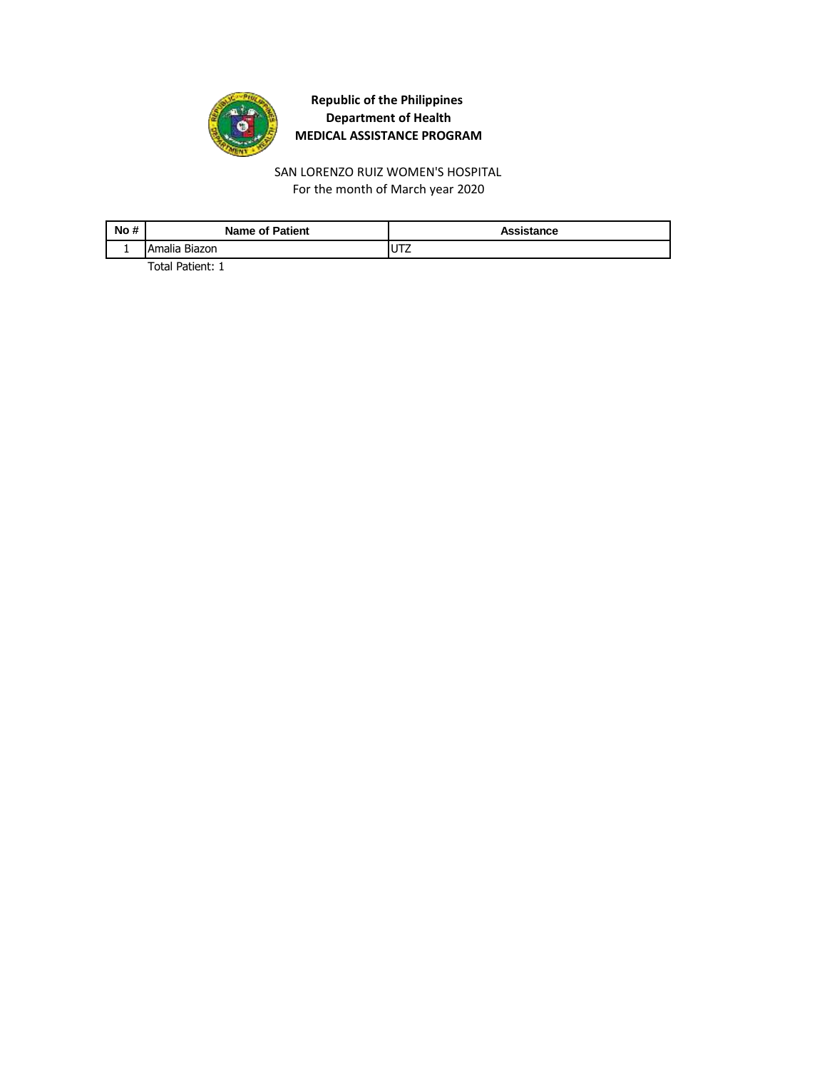

For the month of March year 2020 SAN LORENZO RUIZ WOMEN'S HOSPITAL

| No# | <b>Name of Patient</b> | Assistance |
|-----|------------------------|------------|
|     | Biazon<br>Amalia       | UTZ        |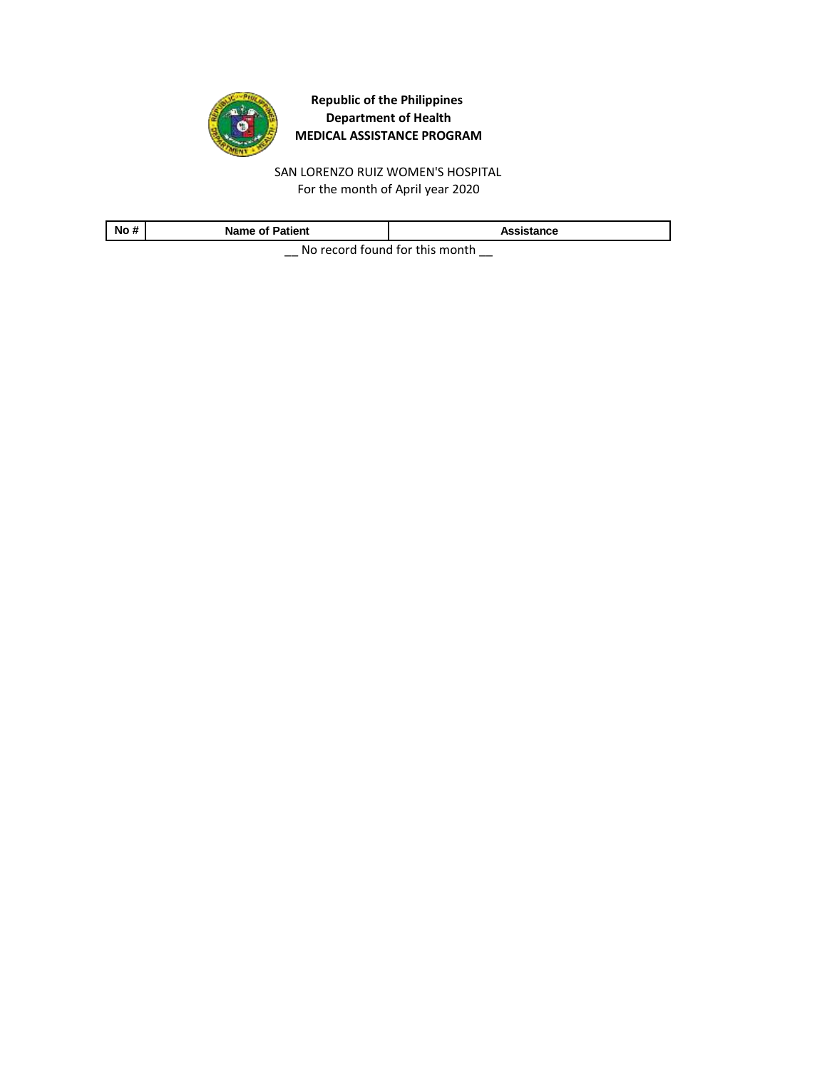

SAN LORENZO RUIZ WOMEN'S HOSPITAL For the month of April year 2020

| No#                                             | <b>Name of Patient</b> | Assistance |
|-------------------------------------------------|------------------------|------------|
| Alle as a study from all from the top controls. |                        |            |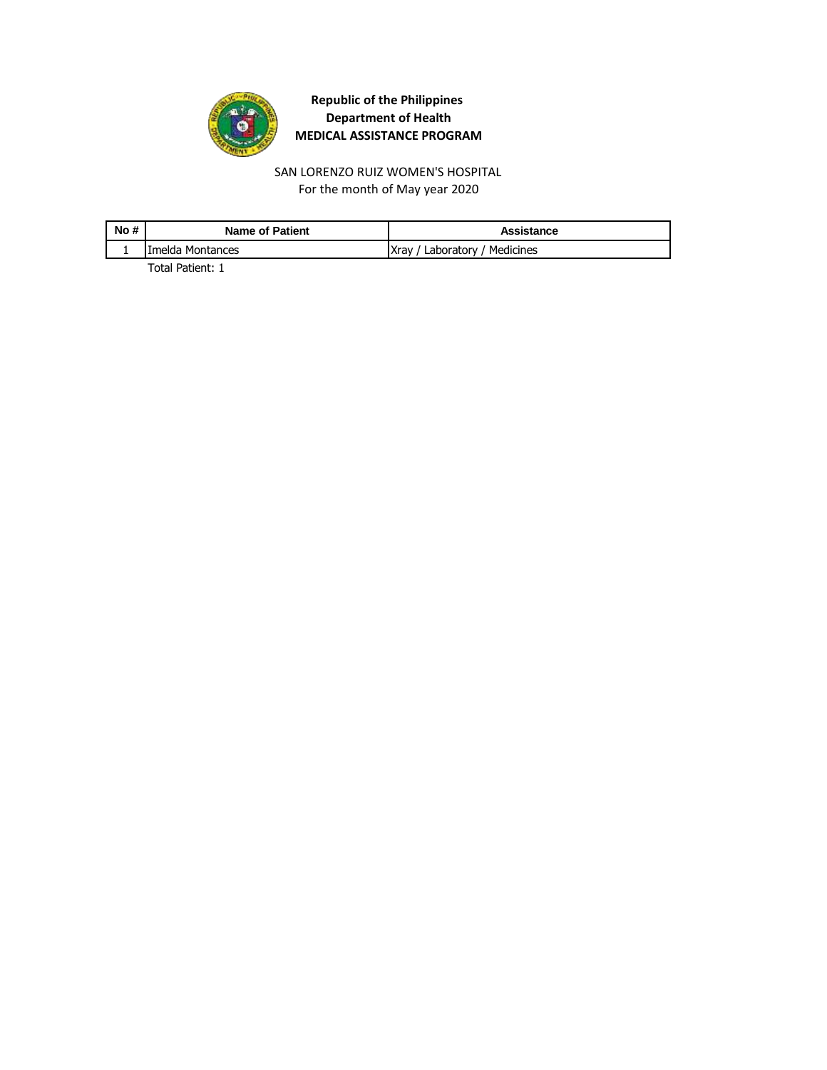

For the month of May year 2020 SAN LORENZO RUIZ WOMEN'S HOSPITAL

| No # | <b>Name of Patient</b> | Assistance                    |
|------|------------------------|-------------------------------|
|      | Imelda Montances       | Xray / Laboratory / Medicines |
|      |                        |                               |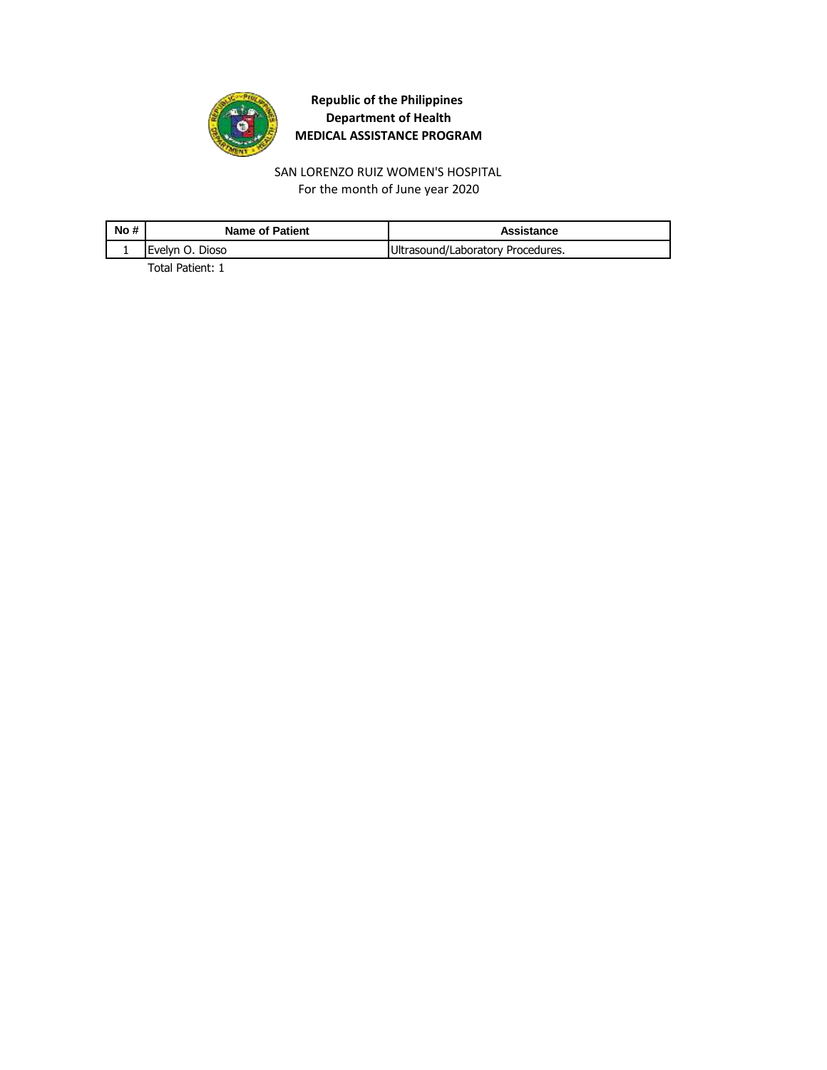

SAN LORENZO RUIZ WOMEN'S HOSPITAL For the month of June year 2020

| No # | Name of Patient         | Assistance                        |
|------|-------------------------|-----------------------------------|
|      | <b>IEvelvn O. Dioso</b> | Ultrasound/Laboratory Procedures. |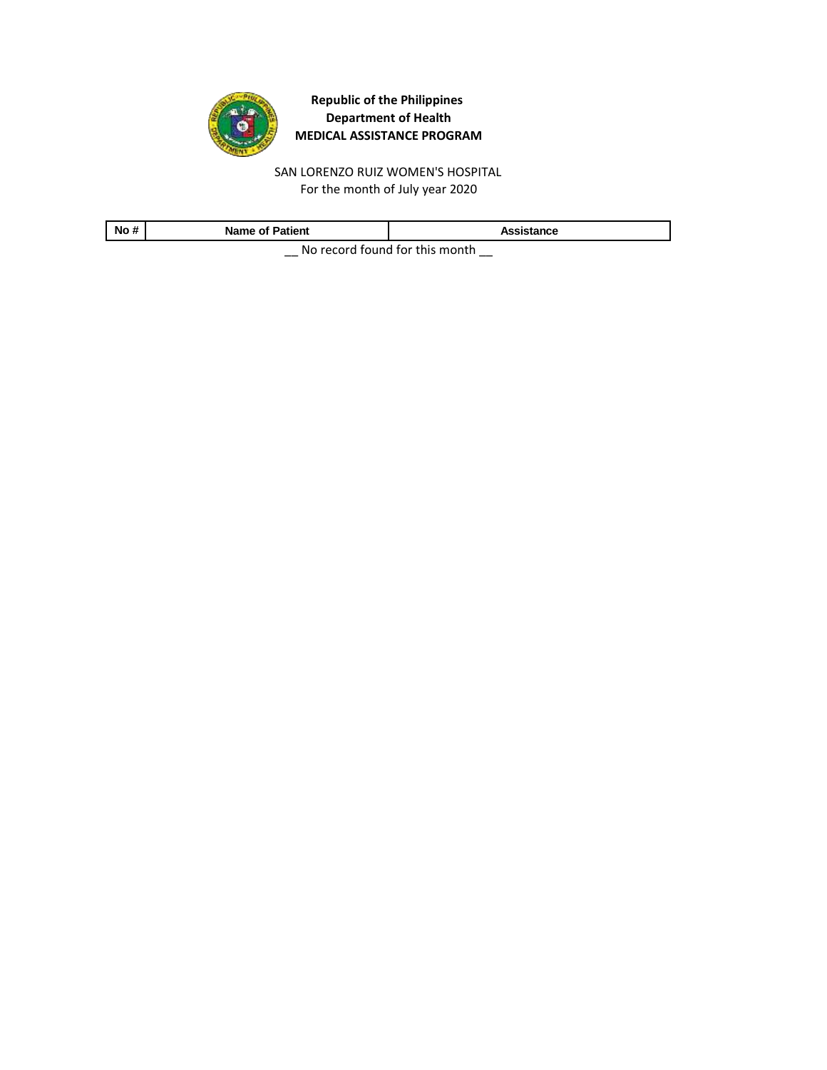

SAN LORENZO RUIZ WOMEN'S HOSPITAL For the month of July year 2020

| No#                                         | Name of Patient | Assistance |
|---------------------------------------------|-----------------|------------|
| Alle a consideration of fourth to an outlet |                 |            |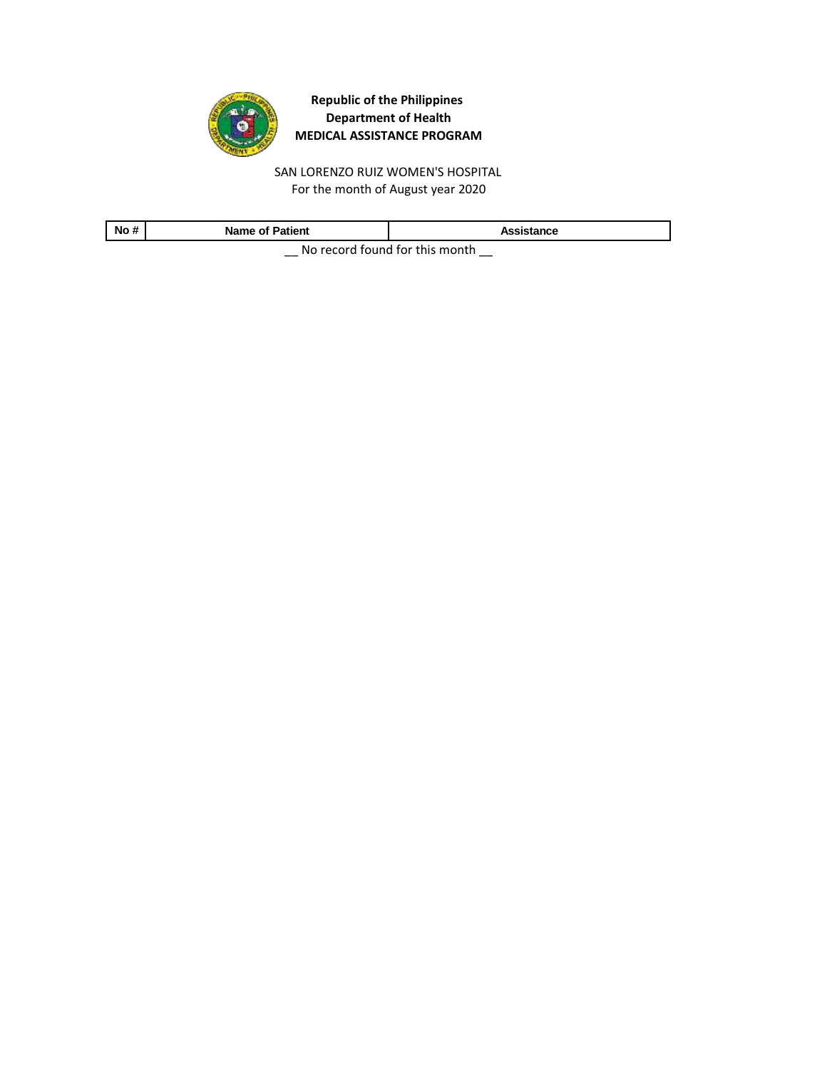

SAN LORENZO RUIZ WOMEN'S HOSPITAL For the month of August year 2020

| No#                                             | <b>Name of Patient</b> | Assistance |
|-------------------------------------------------|------------------------|------------|
| Alle as a study from all from the top controls. |                        |            |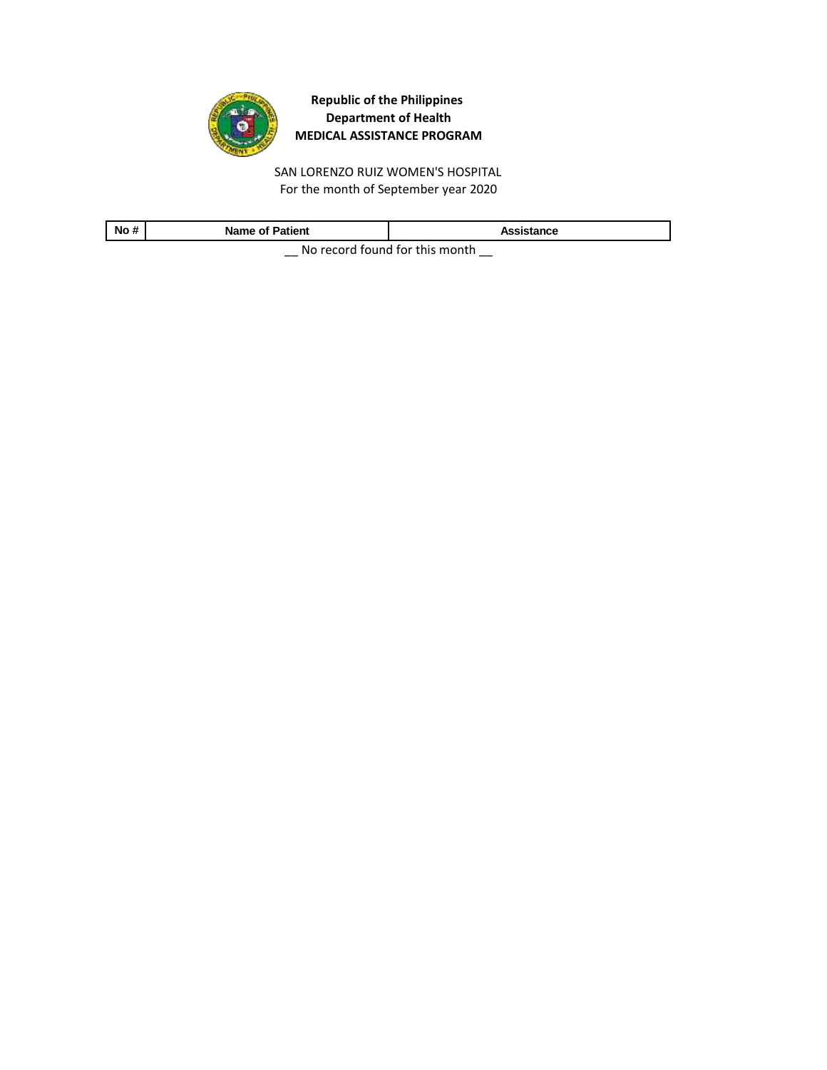

SAN LORENZO RUIZ WOMEN'S HOSPITAL For the month of September year 2020

| No#                                        | <b>Name of Patient</b> | Assistance |
|--------------------------------------------|------------------------|------------|
| Allen a consol formal formality as control |                        |            |